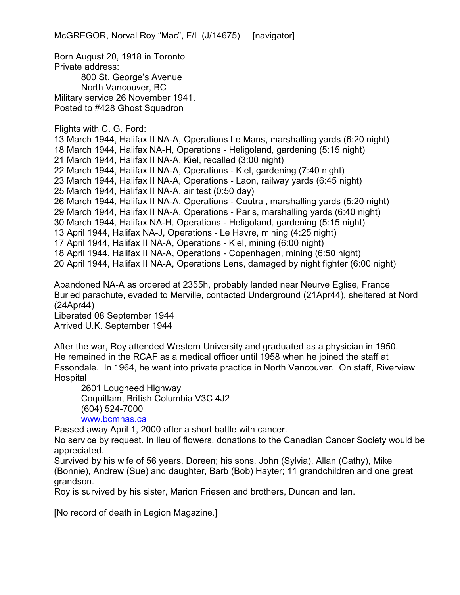Born August 20, 1918 in Toronto Private address: 800 St. George's Avenue North Vancouver, BC Military service 26 November 1941. Posted to #428 Ghost Squadron

Flights with C. G. Ford:

13 March 1944, Halifax II NA-A, Operations Le Mans, marshalling yards (6:20 night) 18 March 1944, Halifax NA-H, Operations - Heligoland, gardening (5:15 night) 21 March 1944, Halifax II NA-A, Kiel, recalled (3:00 night) 22 March 1944, Halifax II NA-A, Operations - Kiel, gardening (7:40 night) 23 March 1944, Halifax II NA-A, Operations - Laon, railway yards (6:45 night) 25 March 1944, Halifax II NA-A, air test (0:50 day) 26 March 1944, Halifax II NA-A, Operations - Coutrai, marshalling yards (5:20 night) 29 March 1944, Halifax II NA-A, Operations - Paris, marshalling yards (6:40 night) 30 March 1944, Halifax NA-H, Operations - Heligoland, gardening (5:15 night) 13 April 1944, Halifax NA-J, Operations - Le Havre, mining (4:25 night) 17 April 1944, Halifax II NA-A, Operations - Kiel, mining (6:00 night) 18 April 1944, Halifax II NA-A, Operations - Copenhagen, mining (6:50 night) 20 April 1944, Halifax II NA-A, Operations Lens, damaged by night fighter (6:00 night)

Abandoned NA-A as ordered at 2355h, probably landed near Neurve Eglise, France Buried parachute, evaded to Merville, contacted Underground (21Apr44), sheltered at Nord (24Apr44) Liberated 08 September 1944

Arrived U.K. September 1944

After the war, Roy attended Western University and graduated as a physician in 1950. He remained in the RCAF as a medical officer until 1958 when he joined the staff at Essondale. In 1964, he went into private practice in North Vancouver. On staff, Riverview **Hospital** 

2601 Lougheed Highway Coquitlam, British Columbia V3C 4J2 (604) 524-7000

[www.bcmhas.ca](http://www.bcmhas.ca)

Passed away April 1, 2000 after a short battle with cancer.

No service by request. In lieu of flowers, donations to the Canadian Cancer Society would be appreciated.

Survived by his wife of 56 years, Doreen; his sons, John (Sylvia), Allan (Cathy), Mike (Bonnie), Andrew (Sue) and daughter, Barb (Bob) Hayter; 11 grandchildren and one great grandson.

Roy is survived by his sister, Marion Friesen and brothers, Duncan and Ian.

[No record of death in Legion Magazine.]